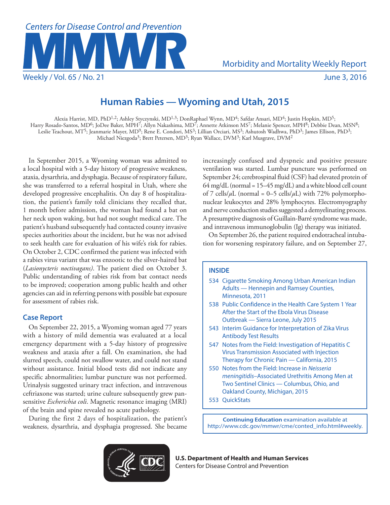

Weekly / Vol. 65 / No. 21 June 3, 2016

# **Human Rabies — Wyoming and Utah, 2015**

Alexia Harrist, MD, PhD<sup>1,2</sup>; Ashley Styczynski, MD<sup>1,3</sup>; DonRaphael Wynn, MD<sup>4</sup>; Safdar Ansari, MD<sup>4</sup>; Justin Hopkin, MD<sup>5</sup>; Harry Rosado-Santos, MD<sup>6</sup>; JoDee Baker, MPH<sup>7</sup>; Allyn Nakashima, MD<sup>7</sup>; Annette Atkinson MS<sup>7</sup>; Melanie Spencer, MPH<sup>8</sup>; Debbie Dean, MSN<sup>8</sup>; Leslie Teachout, MT<sup>5</sup>; Jeanmarie Mayer, MD<sup>9</sup>; Rene E. Condori, MS<sup>3</sup>; Lillian Orciari, MS<sup>3</sup>; Ashutosh Wadhwa, PhD<sup>3</sup>; James Ellison, PhD<sup>3</sup>; Michael Niezgoda<sup>3</sup>; Brett Petersen, MD<sup>3</sup>; Ryan Wallace, DVM<sup>3</sup>; Karl Musgrave, DVM<sup>2</sup>

In September 2015, a Wyoming woman was admitted to a local hospital with a 5-day history of progressive weakness, ataxia, dysarthria, and dysphagia. Because of respiratory failure, she was transferred to a referral hospital in Utah, where she developed progressive encephalitis. On day 8 of hospitalization, the patient's family told clinicians they recalled that, 1 month before admission, the woman had found a bat on her neck upon waking, but had not sought medical care. The patient's husband subsequently had contacted county invasive species authorities about the incident, but he was not advised to seek health care for evaluation of his wife's risk for rabies. On October 2, CDC confirmed the patient was infected with a rabies virus variant that was enzootic to the silver-haired bat (*Lasionycteris noctivagans)*. The patient died on October 3. Public understanding of rabies risk from bat contact needs to be improved; cooperation among public health and other agencies can aid in referring persons with possible bat exposure for assessment of rabies risk.

# **Case Report**

On September 22, 2015, a Wyoming woman aged 77 years with a history of mild dementia was evaluated at a local emergency department with a 5-day history of progressive weakness and ataxia after a fall. On examination, she had slurred speech, could not swallow water, and could not stand without assistance. Initial blood tests did not indicate any specific abnormalities; lumbar puncture was not performed. Urinalysis suggested urinary tract infection, and intravenous ceftriaxone was started; urine culture subsequently grew pansensitive *Escherichia coli*. Magnetic resonance imaging (MRI) of the brain and spine revealed no acute pathology.

During the first 2 days of hospitalization, the patient's weakness, dysarthria, and dysphagia progressed. She became

increasingly confused and dyspneic and positive pressure ventilation was started. Lumbar puncture was performed on September 24; cerebrospinal fluid (CSF) had elevated protein of 64 mg/dL (normal =  $15-45$  mg/dL) and a white blood cell count of 7 cells/ $\mu$ L (normal = 0–5 cells/ $\mu$ L) with 72% polymorphonuclear leukocytes and 28% lymphocytes. Electromyography and nerve conduction studies suggested a demyelinating process. A presumptive diagnosis of Guillain-Barré syndrome was made, and intravenous immunoglobulin (Ig) therapy was initiated.

On September 26, the patient required endotracheal intubation for worsening respiratory failure, and on September 27,

# **INSIDE**

- 534 Cigarette Smoking Among Urban American Indian Adults — Hennepin and Ramsey Counties, Minnesota, 2011
- 538 Public Confidence in the Health Care System 1 Year After the Start of the Ebola Virus Disease Outbreak — Sierra Leone, July 2015
- 543 Interim Guidance for Interpretation of Zika Virus Antibody Test Results
- 547 Notes from the Field: Investigation of Hepatitis C Virus Transmission Associated with Injection Therapy for Chronic Pain — California, 2015
- 550 Notes from the Field: Increase in *Neisseria meningitidis*–Associated Urethritis Among Men at Two Sentinel Clinics — Columbus, Ohio, and Oakland County, Michigan, 2015
- 553 QuickStats

**Continuing Education** examination available at [http://www.cdc.gov/mmwr/cme/conted\\_info.html#weekly.](http://www.cdc.gov/mmwr/cme/conted_info.html#weekly)



**U.S. Department of Health and Human Services** Centers for Disease Control and Prevention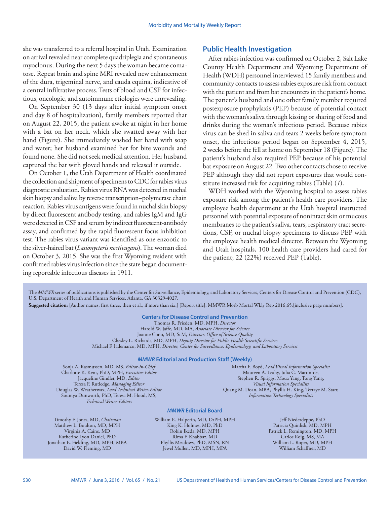she was transferred to a referral hospital in Utah. Examination on arrival revealed near complete quadriplegia and spontaneous myoclonus. During the next 5 days the woman became comatose. Repeat brain and spine MRI revealed new enhancement of the dura, trigeminal nerve, and cauda equina, indicative of a central infiltrative process. Tests of blood and CSF for infectious, oncologic, and autoimmune etiologies were unrevealing.

On September 30 (13 days after initial symptom onset and day 8 of hospitalization), family members reported that on August 22, 2015, the patient awoke at night in her home with a bat on her neck, which she swatted away with her hand (Figure). She immediately washed her hand with soap and water; her husband examined her for bite wounds and found none. She did not seek medical attention. Her husband captured the bat with gloved hands and released it outside.

On October 1, the Utah Department of Health coordinated the collection and shipment of specimens to CDC for rabies virus diagnostic evaluation. Rabies virus RNA was detected in nuchal skin biopsy and saliva by reverse transcription–polymerase chain reaction. Rabies virus antigens were found in nuchal skin biopsy by direct fluorescent antibody testing, and rabies IgM and IgG were detected in CSF and serum by indirect fluorescent-antibody assay, and confirmed by the rapid fluorescent focus inhibition test. The rabies virus variant was identified as one enzootic to the silver-haired bat (*Lasionycteris noctivagans*). The woman died on October 3, 2015. She was the first Wyoming resident with confirmed rabies virus infection since the state began documenting reportable infectious diseases in 1911.

## **Public Health Investigation**

After rabies infection was confirmed on October 2, Salt Lake County Health Department and Wyoming Department of Health (WDH) personnel interviewed 15 family members and community contacts to assess rabies exposure risk from contact with the patient and from bat encounters in the patient's home. The patient's husband and one other family member required postexposure prophylaxis (PEP) because of potential contact with the woman's saliva through kissing or sharing of food and drinks during the woman's infectious period. Because rabies virus can be shed in saliva and tears 2 weeks before symptom onset, the infectious period began on September 4, 2015, 2 weeks before she fell at home on September 18 (Figure). The patient's husband also required PEP because of his potential bat exposure on August 22. Two other contacts chose to receive PEP although they did not report exposures that would constitute increased risk for acquiring rabies (Table) (*1*).

WDH worked with the Wyoming hospital to assess rabies exposure risk among the patient's health care providers. The employee health department at the Utah hospital instructed personnel with potential exposure of nonintact skin or mucous membranes to the patient's saliva, tears, respiratory tract secretions, CSF, or nuchal biopsy specimens to discuss PEP with the employee health medical director. Between the Wyoming and Utah hospitals, 100 health care providers had cared for the patient; 22 (22%) received PEP (Table).

The *MMWR* series of publications is published by the Center for Surveillance, Epidemiology, and Laboratory Services, Centers for Disease Control and Prevention (CDC), U.S. Department of Health and Human Services, Atlanta, GA 30329-4027.

**Suggested citation:** [Author names; first three, then et al., if more than six.] [Report title]. MMWR Morb Mortal Wkly Rep 2016;65:[inclusive page numbers].

# **Centers for Disease Control and Prevention**

Thomas R. Frieden, MD, MPH, *Director* Harold W. Jaffe, MD, MA, *Associate Director for Science* Joanne Cono, MD, ScM, *Director, Office of Science Quality*  Chesley L. Richards, MD, MPH, *Deputy Director for Public Health Scientific Services* Michael F. Iademarco, MD, MPH, *Director, Center for Surveillance, Epidemiology, and Laboratory Services*

#### *MMWR* **Editorial and Production Staff (Weekly)**

Sonja A. Rasmussen, MD, MS, *Editor-in-Chief* Charlotte K. Kent, PhD, MPH, *Executive Editor* Jacqueline Gindler, MD, *Editor* Teresa F. Rutledge, *Managing Editor* Douglas W. Weatherwax, *Lead Technical Writer-Editor* Soumya Dunworth, PhD, Teresa M. Hood, MS, *Technical Writer-Editors*

Martha F. Boyd, *Lead Visual Information Specialist* Maureen A. Leahy, Julia C. Martinroe, Stephen R. Spriggs, Moua Yang, Tong Yang, *Visual Information Specialists* Quang M. Doan, MBA, Phyllis H. King, Terraye M. Starr, *Information Technology Specialists*

### *MMWR* **Editorial Board**

Timothy F. Jones, MD, *Chairman* Matthew L. Boulton, MD, MPH Virginia A. Caine, MD Katherine Lyon Daniel, PhD Jonathan E. Fielding, MD, MPH, MBA David W. Fleming, MD

William E. Halperin, MD, DrPH, MPH King K. Holmes, MD, PhD Robin Ikeda, MD, MPH Rima F. Khabbaz, MD Phyllis Meadows, PhD, MSN, RN Jewel Mullen, MD, MPH, MPA

Jeff Niederdeppe, PhD Patricia Quinlisk, MD, MPH Patrick L. Remington, MD, MPH Carlos Roig, MS, MA William L. Roper, MD, MPH William Schaffner, MD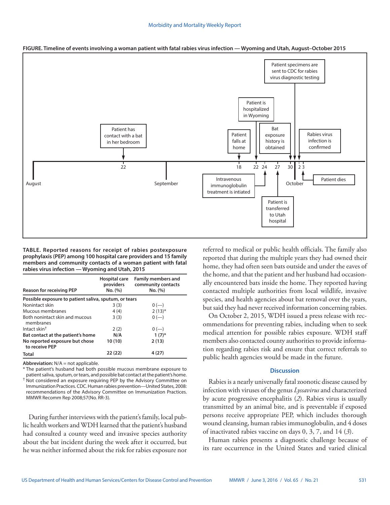

**FIGURE. Timeline of events involving a woman patient with fatal rabies virus infection — Wyoming and Utah, August–October 2015**

**TABLE. Reported reasons for receipt of rabies postexposure prophylaxis (PEP) among 100 hospital care providers and 15 family members and community contacts of a woman patient with fatal rabies virus infection — Wyoming and Utah, 2015**

| <b>Reason for receiving PEP</b>                       | Hospital care<br>providers<br>No. (%) | <b>Family members and</b><br>community contacts<br>No. (%) |
|-------------------------------------------------------|---------------------------------------|------------------------------------------------------------|
| Possible exposure to patient saliva, sputum, or tears |                                       |                                                            |
| Nonintact skin                                        | 3(3)                                  | $0 (-)$                                                    |
| Mucous membranes                                      | 4(4)                                  | $2(13)*$                                                   |
| Both nonintact skin and mucous<br>membranes           | 3(3)                                  | $0 (-)$                                                    |
| Intact skin <sup>†</sup>                              | 2(2)                                  | $0 (-)$                                                    |
| Bat contact at the patient's home                     | N/A                                   | $1(7)^{*}$                                                 |
| No reported exposure but chose<br>to receive PEP      | 10 (10)                               | 2(13)                                                      |
| <b>Total</b>                                          | 22(22)                                | 4 (27)                                                     |

**Abbreviation:** N/A = not applicable.

\* The patient's husband had both possible mucous membrane exposure to patient saliva, sputum, or tears, and possible bat contact at the patient's home. † Not considered an exposure requiring PEP by the Advisory Committee on Immunization Practices. CDC. Human rabies prevention—United States, 2008: recommendations of the Advisory Committee on Immunization Practices. MMWR Recomm Rep 2008;57(No. RR-3).

During further interviews with the patient's family, local public health workers and WDH learned that the patient's husband had consulted a county weed and invasive species authority about the bat incident during the week after it occurred, but he was neither informed about the risk for rabies exposure nor referred to medical or public health officials. The family also reported that during the multiple years they had owned their home, they had often seen bats outside and under the eaves of the home, and that the patient and her husband had occasionally encountered bats inside the home. They reported having contacted multiple authorities from local wildlife, invasive species, and health agencies about bat removal over the years, but said they had never received information concerning rabies.

On October 2, 2015, WDH issued a press release with recommendations for preventing rabies, including when to seek medical attention for possible rabies exposure. WDH staff members also contacted county authorities to provide information regarding rabies risk and ensure that correct referrals to public health agencies would be made in the future.

## **Discussion**

Rabies is a nearly universally fatal zoonotic disease caused by infection with viruses of the genus *Lyssavirus* and characterized by acute progressive encephalitis (*2*). Rabies virus is usually transmitted by an animal bite, and is preventable if exposed persons receive appropriate PEP, which includes thorough wound cleansing, human rabies immunoglobulin, and 4 doses of inactivated rabies vaccine on days 0, 3, 7, and 14 (*3*).

Human rabies presents a diagnostic challenge because of its rare occurrence in the United States and varied clinical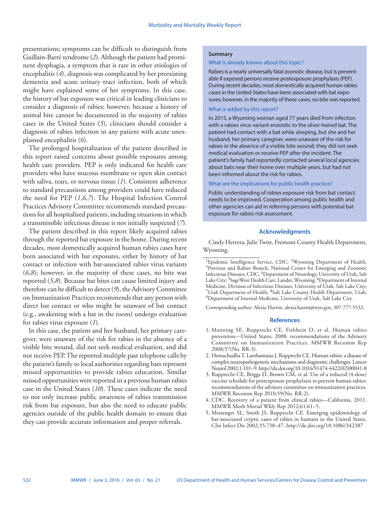presentations; symptoms can be difficult to distinguish from Guillain-Barré syndrome (*2*). Although the patient had prominent dysphagia, a symptom that is rare in other etiologies of encephalitis (*4*), diagnosis was complicated by her preexisting dementia and acute urinary tract infection, both of which might have explained some of her symptoms. In this case, the history of bat exposure was critical in leading clinicians to consider a diagnosis of rabies; however, because a history of animal bite cannot be documented in the majority of rabies cases in the United States (*5*), clinicians should consider a diagnosis of rabies infection in any patient with acute unexplained encephalitis (*6*).

The prolonged hospitalization of the patient described in this report raised concerns about possible exposures among health care providers. PEP is only indicated for health care providers who have mucous membrane or open skin contact with saliva, tears, or nervous tissue (*1*). Consistent adherence to standard precautions among providers could have reduced the need for PEP (*1*,*6*,*7*). The Hospital Infection Control Practices Advisory Committee recommends standard precautions for all hospitalized patients, including situations in which a transmissible infectious disease is not initially suspected (*7*).

The patient described in this report likely acquired rabies through the reported bat exposure in the home. During recent decades, most domestically acquired human rabies cases have been associated with bat exposures, either by history of bat contact or infection with bat-associated rabies virus variants (*6*,*8*); however, in the majority of these cases, no bite was reported (*5*,*8*). Because bat bites can cause limited injury and therefore can be difficult to detect (*9*), the Advisory Committee on Immunization Practices recommends that any person with direct bat contact or who might be unaware of bat contact (e.g., awakening with a bat in the room) undergo evaluation for rabies virus exposure (*1*).

In this case, the patient and her husband, her primary caregiver, were unaware of the risk for rabies in the absence of a visible bite wound, did not seek medical evaluation, and did not receive PEP. The reported multiple past telephone calls by the patient's family to local authorities regarding bats represent missed opportunities to provide rabies education. Similar missed opportunities were reported in a previous human rabies case in the United States (*10*). These cases indicate the need to not only increase public awareness of rabies transmission risk from bat exposure, but also the need to educate public agencies outside of the public health domain to ensure that they can provide accurate information and proper referrals.

#### **Summary**

#### What is already known about this topic?

Rabies is a nearly universally fatal zoonotic disease, but is preventable if exposed persons receive postexposure prophylaxis (PEP). During recent decades, most domestically acquired human rabies cases in the United States have been associated with bat exposures; however, in the majority of these cases, no bite was reported.

### What is added by this report?

In 2015, a Wyoming woman aged 77 years died from infection with a rabies virus variant enzootic to the silver-haired bat. The patient had contact with a bat while sleeping, but she and her husband, her primary caregiver, were unaware of the risk for rabies in the absence of a visible bite wound; they did not seek medical evaluation or receive PEP after the incident. The patient's family had reportedly contacted several local agencies about bats near their home over multiple years, but had not been informed about the risk for rabies.

## What are the implications for public health practice?

Public understanding of rabies exposure risk from bat contact needs to be improved. Cooperation among public health and other agencies can aid in referring persons with potential bat exposure for rabies risk assessment.

## **Acknowledgments**

Cindy Herrera, Julie Twist, Fremont County Health Department, Wyoming.

Corresponding author: Alexia Harrist, [alexia.harrist@wyo.gov](mailto:alexia.harrist@wyo.gov), 307-777-5532.

#### **References**

- 1. Manning SE, Rupprecht CE, Fishbein D, et al. Human rabies prevention—United States, 2008: recommendations of the Advisory Committee on Immunization Practices. MMWR Recomm Rep 2008;57(No. RR-3).
- 2. Hemachudha T, Laothamatas J, Rupprecht CE. Human rabies: a disease of complex neuropathogenetic mechanisms and diagnostic challenges. Lancet Neurol 2002;1:101–9. [http://dx.doi.org/10.1016/S1474-4422\(02\)00041-8](http://dx.doi.org/10.1016/S1474-4422(02)00041-8)
- 3. Rupprecht CE, Briggs D, Brown CM, et al. Use of a reduced (4-dose) vaccine schedule for postexposure prophylaxis to prevent human rabies: recommendations of the advisory committee on immunization practices. MMWR Recomm Rep 2010;59(No. RR-2).
- 4. CDC. Recovery of a patient from clinical rabies—California, 2011. MMWR Morb Mortal Wkly Rep 2012;61:61–5.
- 5. Messenger SL, Smith JS, Rupprecht CE. Emerging epidemiology of bat-associated cryptic cases of rabies in humans in the United States. Clin Infect Dis 2002;35:738–47. <http://dx.doi.org/10.1086/342387>

<sup>&</sup>lt;sup>1</sup>Epidemic Intelligence Service, CDC; <sup>2</sup>Wyoming Department of Health; <sup>3</sup>Poxvirus and Rabies Branch, National Center for Emerging and Zoonotic Infectious Diseases, CDC; 4Department of Neurology, University of Utah, Salt Lake City; <sup>5</sup>SageWest Health Care, Lander, Wyoming; <sup>6</sup>Department of Internal Medicine, Division of Infectious Diseases, University of Utah, Salt Lake City; 7Utah Department of Health; 8Salt Lake County Health Department, Utah; 9Department of Internal Medicine, University of Utah, Salt Lake City.